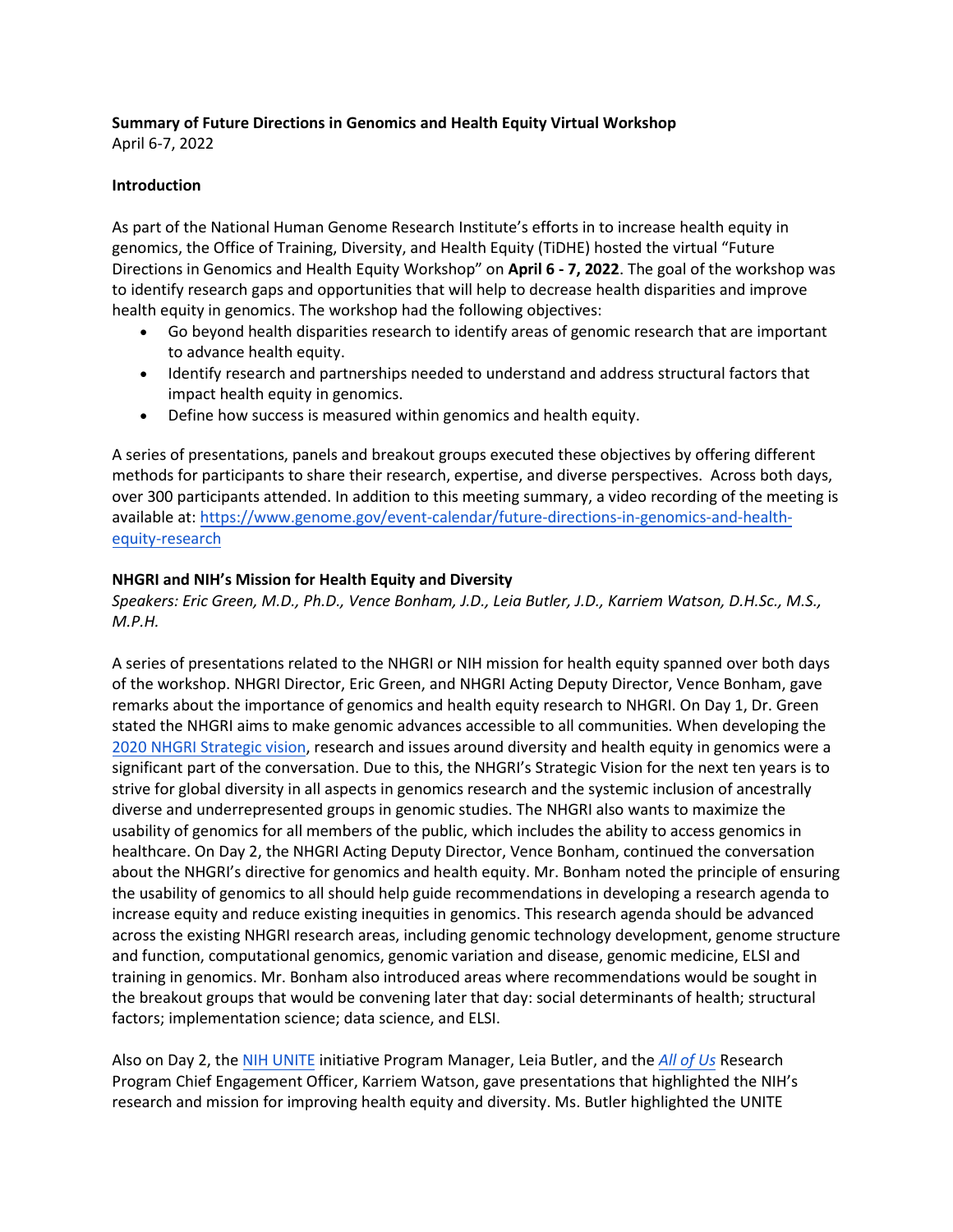# **Summary of Future Directions in Genomics and Health Equity Virtual Workshop**

April 6-7, 2022

## **Introduction**

As part of the National Human Genome Research Institute's efforts in to increase health equity in genomics, the Office of Training, Diversity, and Health Equity (TiDHE) hosted the virtual "Future Directions in Genomics and Health Equity Workshop" on **April 6 - 7, 2022**. The goal of the workshop was to identify research gaps and opportunities that will help to decrease health disparities and improve health equity in genomics. The workshop had the following objectives:

- Go beyond health disparities research to identify areas of genomic research that are important to advance health equity.
- Identify research and partnerships needed to understand and address structural factors that impact health equity in genomics.
- Define how success is measured within genomics and health equity.

A series of presentations, panels and breakout groups executed these objectives by offering different methods for participants to share their research, expertise, and diverse perspectives. Across both days, over 300 participants attended. In addition to this meeting summary, a video recording of the meeting is available at: [https://www.genome.gov/event-calendar/future-directions-in-genomics-and-health](https://www.genome.gov/event-calendar/future-directions-in-genomics-and-health-equity-research)[equity-research](https://www.genome.gov/event-calendar/future-directions-in-genomics-and-health-equity-research)

## **NHGRI and NIH's Mission for Health Equity and Diversity**

*Speakers: Eric Green, M.D., Ph.D., Vence Bonham, J.D., Leia Butler, J.D., Karriem Watson, D.H.Sc., M.S., M.P.H.*

A series of presentations related to the NHGRI or NIH mission for health equity spanned over both days of the workshop. NHGRI Director, Eric Green, and NHGRI Acting Deputy Director, Vence Bonham, gave remarks about the importance of genomics and health equity research to NHGRI. On Day 1, Dr. Green stated the NHGRI aims to make genomic advances accessible to all communities. When developing the [2020 NHGRI Strategic](https://www.genome.gov/2020SV) vision, research and issues around diversity and health equity in genomics were a significant part of the conversation. Due to this, the NHGRI's Strategic Vision for the next ten years is to strive for global diversity in all aspects in genomics research and the systemic inclusion of ancestrally diverse and underrepresented groups in genomic studies. The NHGRI also wants to maximize the usability of genomics for all members of the public, which includes the ability to access genomics in healthcare. On Day 2, the NHGRI Acting Deputy Director, Vence Bonham, continued the conversation about the NHGRI's directive for genomics and health equity. Mr. Bonham noted the principle of ensuring the usability of genomics to all should help guide recommendations in developing a research agenda to increase equity and reduce existing inequities in genomics. This research agenda should be advanced across the existing NHGRI research areas, including genomic technology development, genome structure and function, computational genomics, genomic variation and disease, genomic medicine, ELSI and training in genomics. Mr. Bonham also introduced areas where recommendations would be sought in the breakout groups that would be convening later that day: social determinants of health; structural factors; implementation science; data science, and ELSI.

Also on Day 2, the [NIH UNITE](https://www.nih.gov/ending-structural-racism/unite) initiative Program Manager, Leia Butler, and the *[All](https://allofus.nih.gov/) of Us* Research Program Chief Engagement Officer, Karriem Watson, gave presentations that highlighted the NIH's research and mission for improving health equity and diversity. Ms. Butler highlighted the UNITE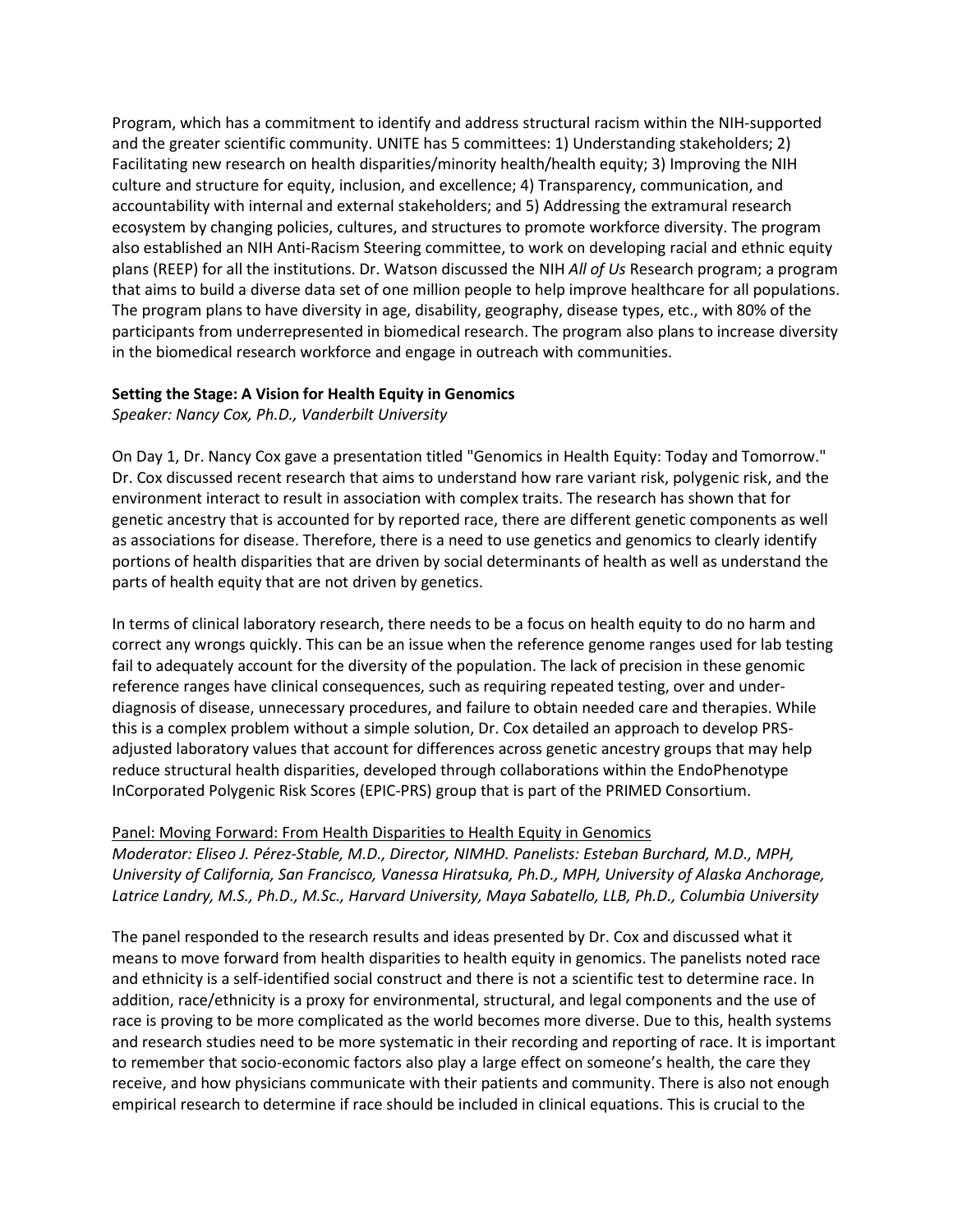Program, which has a commitment to identify and address structural racism within the NIH-supported and the greater scientific community. UNITE has 5 committees: 1) Understanding stakeholders; 2) Facilitating new research on health disparities/minority health/health equity; 3) Improving the NIH culture and structure for equity, inclusion, and excellence; 4) Transparency, communication, and accountability with internal and external stakeholders; and 5) Addressing the extramural research ecosystem by changing policies, cultures, and structures to promote workforce diversity. The program also established an NIH Anti-Racism Steering committee, to work on developing racial and ethnic equity plans (REEP) for all the institutions. Dr. Watson discussed the NIH *All of Us* Research program; a program that aims to build a diverse data set of one million people to help improve healthcare for all populations. The program plans to have diversity in age, disability, geography, disease types, etc., with 80% of the participants from underrepresented in biomedical research. The program also plans to increase diversity in the biomedical research workforce and engage in outreach with communities.

#### **Setting the Stage: A Vision for Health Equity in Genomics**

*Speaker: Nancy Cox, Ph.D., Vanderbilt University*

On Day 1, Dr. Nancy Cox gave a presentation titled "Genomics in Health Equity: Today and Tomorrow." Dr. Cox discussed recent research that aims to understand how rare variant risk, polygenic risk, and the environment interact to result in association with complex traits. The research has shown that for genetic ancestry that is accounted for by reported race, there are different genetic components as well as associations for disease. Therefore, there is a need to use genetics and genomics to clearly identify portions of health disparities that are driven by social determinants of health as well as understand the parts of health equity that are not driven by genetics.

In terms of clinical laboratory research, there needs to be a focus on health equity to do no harm and correct any wrongs quickly. This can be an issue when the reference genome ranges used for lab testing fail to adequately account for the diversity of the population. The lack of precision in these genomic reference ranges have clinical consequences, such as requiring repeated testing, over and underdiagnosis of disease, unnecessary procedures, and failure to obtain needed care and therapies. While this is a complex problem without a simple solution, Dr. Cox detailed an approach to develop PRSadjusted laboratory values that account for differences across genetic ancestry groups that may help reduce structural health disparities, developed through collaborations within the EndoPhenotype InCorporated Polygenic Risk Scores (EPIC-PRS) group that is part of the PRIMED Consortium.

#### Panel: Moving Forward: From Health Disparities to Health Equity in Genomics

*Moderator: Eliseo J. Pérez-Stable, M.D., Director, NIMHD. Panelists: Esteban Burchard, M.D., MPH, University of California, San Francisco, Vanessa Hiratsuka, Ph.D., MPH, University of Alaska Anchorage, Latrice Landry, M.S., Ph.D., M.Sc., Harvard University, Maya Sabatello, LLB, Ph.D., Columbia University*

The panel responded to the research results and ideas presented by Dr. Cox and discussed what it means to move forward from health disparities to health equity in genomics. The panelists noted race and ethnicity is a self-identified social construct and there is not a scientific test to determine race. In addition, race/ethnicity is a proxy for environmental, structural, and legal components and the use of race is proving to be more complicated as the world becomes more diverse. Due to this, health systems and research studies need to be more systematic in their recording and reporting of race. It is important to remember that socio-economic factors also play a large effect on someone's health, the care they receive, and how physicians communicate with their patients and community. There is also not enough empirical research to determine if race should be included in clinical equations. This is crucial to the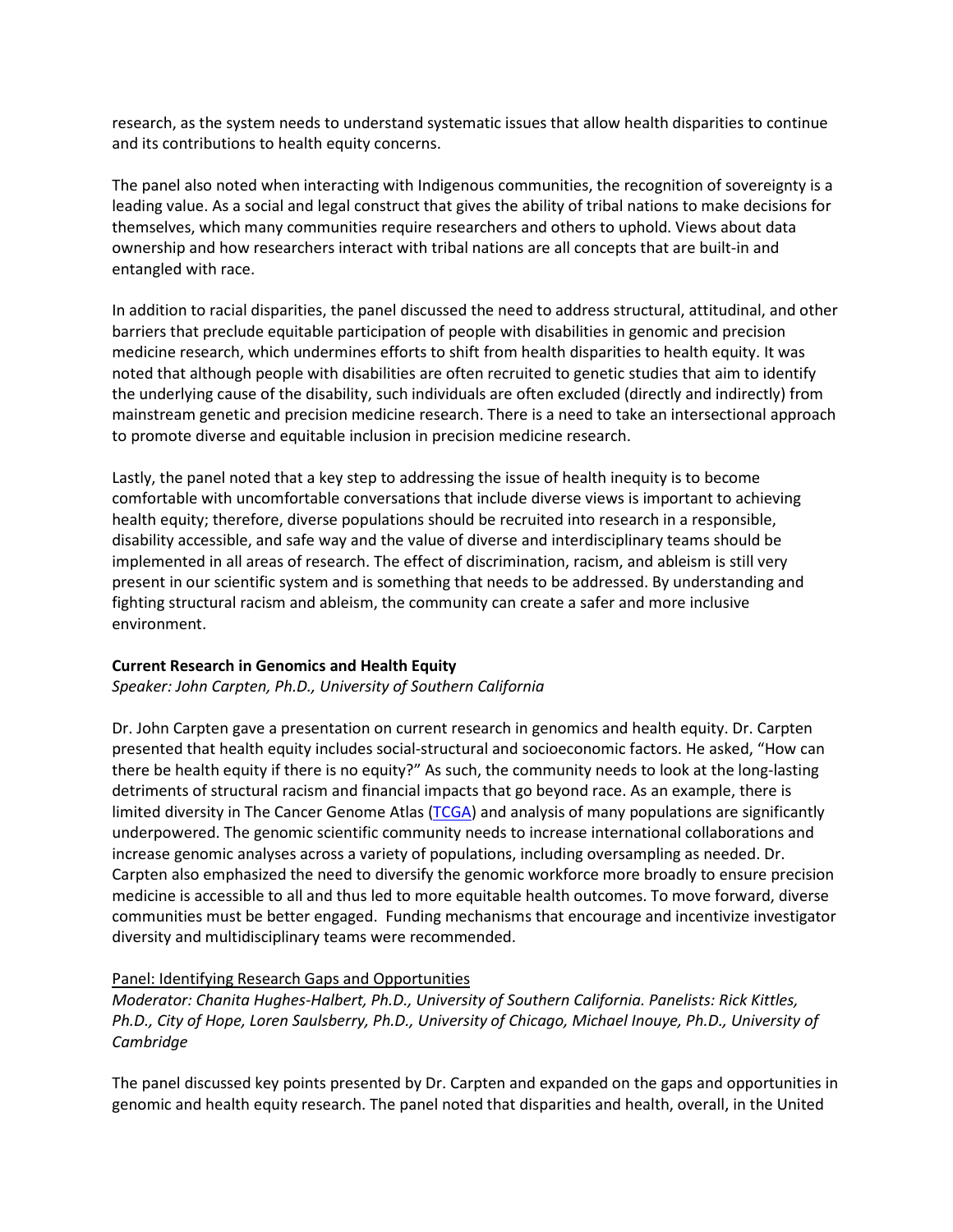research, as the system needs to understand systematic issues that allow health disparities to continue and its contributions to health equity concerns.

The panel also noted when interacting with Indigenous communities, the recognition of sovereignty is a leading value. As a social and legal construct that gives the ability of tribal nations to make decisions for themselves, which many communities require researchers and others to uphold. Views about data ownership and how researchers interact with tribal nations are all concepts that are built-in and entangled with race.

In addition to racial disparities, the panel discussed the need to address structural, attitudinal, and other barriers that preclude equitable participation of people with disabilities in genomic and precision medicine research, which undermines efforts to shift from health disparities to health equity. It was noted that although people with disabilities are often recruited to genetic studies that aim to identify the underlying cause of the disability, such individuals are often excluded (directly and indirectly) from mainstream genetic and precision medicine research. There is a need to take an intersectional approach to promote diverse and equitable inclusion in precision medicine research.

Lastly, the panel noted that a key step to addressing the issue of health inequity is to become comfortable with uncomfortable conversations that include diverse views is important to achieving health equity; therefore, diverse populations should be recruited into research in a responsible, disability accessible, and safe way and the value of diverse and interdisciplinary teams should be implemented in all areas of research. The effect of discrimination, racism, and ableism is still very present in our scientific system and is something that needs to be addressed. By understanding and fighting structural racism and ableism, the community can create a safer and more inclusive environment.

#### **Current Research in Genomics and Health Equity**

*Speaker: John Carpten, Ph.D., University of Southern California*

Dr. John Carpten gave a presentation on current research in genomics and health equity. Dr. Carpten presented that health equity includes social-structural and socioeconomic factors. He asked, "How can there be health equity if there is no equity?" As such, the community needs to look at the long-lasting detriments of structural racism and financial impacts that go beyond race. As an example, there is limited diversity in The Cancer Genome Atlas [\(TCGA\)](https://www.cancer.gov/about-nci/organization/ccg/research/structural-genomics/tcga) and analysis of many populations are significantly underpowered. The genomic scientific community needs to increase international collaborations and increase genomic analyses across a variety of populations, including oversampling as needed. Dr. Carpten also emphasized the need to diversify the genomic workforce more broadly to ensure precision medicine is accessible to all and thus led to more equitable health outcomes. To move forward, diverse communities must be better engaged. Funding mechanisms that encourage and incentivize investigator diversity and multidisciplinary teams were recommended.

#### Panel: Identifying Research Gaps and Opportunities

*Moderator: Chanita Hughes-Halbert, Ph.D., University of Southern California. Panelists: Rick Kittles, Ph.D., City of Hope, Loren Saulsberry, Ph.D., University of Chicago, Michael Inouye, Ph.D., University of Cambridge*

The panel discussed key points presented by Dr. Carpten and expanded on the gaps and opportunities in genomic and health equity research. The panel noted that disparities and health, overall, in the United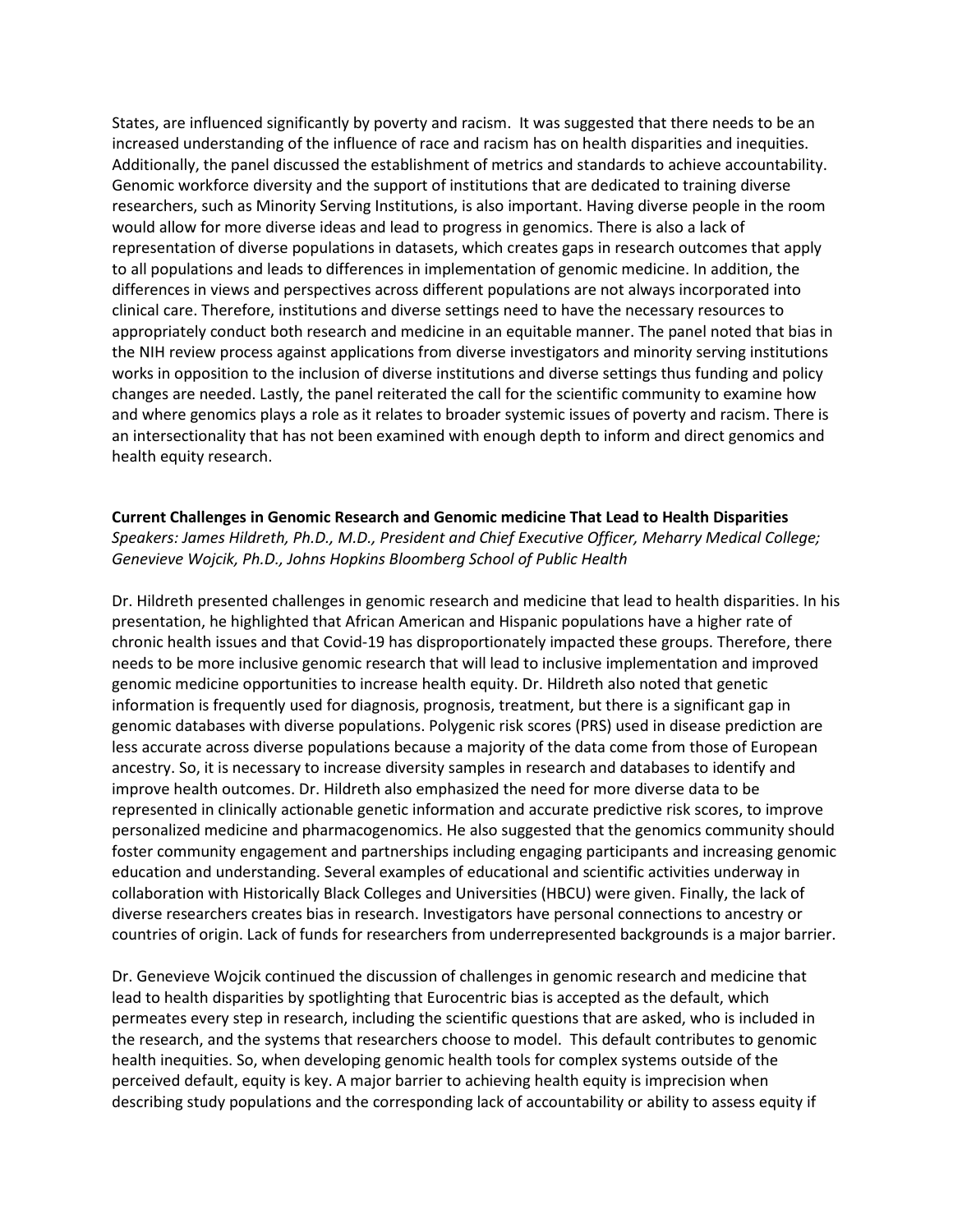States, are influenced significantly by poverty and racism. It was suggested that there needs to be an increased understanding of the influence of race and racism has on health disparities and inequities. Additionally, the panel discussed the establishment of metrics and standards to achieve accountability. Genomic workforce diversity and the support of institutions that are dedicated to training diverse researchers, such as Minority Serving Institutions, is also important. Having diverse people in the room would allow for more diverse ideas and lead to progress in genomics. There is also a lack of representation of diverse populations in datasets, which creates gaps in research outcomes that apply to all populations and leads to differences in implementation of genomic medicine. In addition, the differences in views and perspectives across different populations are not always incorporated into clinical care. Therefore, institutions and diverse settings need to have the necessary resources to appropriately conduct both research and medicine in an equitable manner. The panel noted that bias in the NIH review process against applications from diverse investigators and minority serving institutions works in opposition to the inclusion of diverse institutions and diverse settings thus funding and policy changes are needed. Lastly, the panel reiterated the call for the scientific community to examine how and where genomics plays a role as it relates to broader systemic issues of poverty and racism. There is an intersectionality that has not been examined with enough depth to inform and direct genomics and health equity research.

#### **Current Challenges in Genomic Research and Genomic medicine That Lead to Health Disparities** *Speakers: James Hildreth, Ph.D., M.D., President and Chief Executive Officer, Meharry Medical College; Genevieve Wojcik, Ph.D., Johns Hopkins Bloomberg School of Public Health*

Dr. Hildreth presented challenges in genomic research and medicine that lead to health disparities. In his presentation, he highlighted that African American and Hispanic populations have a higher rate of chronic health issues and that Covid-19 has disproportionately impacted these groups. Therefore, there needs to be more inclusive genomic research that will lead to inclusive implementation and improved genomic medicine opportunities to increase health equity. Dr. Hildreth also noted that genetic information is frequently used for diagnosis, prognosis, treatment, but there is a significant gap in genomic databases with diverse populations. Polygenic risk scores (PRS) used in disease prediction are less accurate across diverse populations because a majority of the data come from those of European ancestry. So, it is necessary to increase diversity samples in research and databases to identify and improve health outcomes. Dr. Hildreth also emphasized the need for more diverse data to be represented in clinically actionable genetic information and accurate predictive risk scores, to improve personalized medicine and pharmacogenomics. He also suggested that the genomics community should foster community engagement and partnerships including engaging participants and increasing genomic education and understanding. Several examples of educational and scientific activities underway in collaboration with Historically Black Colleges and Universities (HBCU) were given. Finally, the lack of diverse researchers creates bias in research. Investigators have personal connections to ancestry or countries of origin. Lack of funds for researchers from underrepresented backgrounds is a major barrier.

Dr. Genevieve Wojcik continued the discussion of challenges in genomic research and medicine that lead to health disparities by spotlighting that Eurocentric bias is accepted as the default, which permeates every step in research, including the scientific questions that are asked, who is included in the research, and the systems that researchers choose to model. This default contributes to genomic health inequities. So, when developing genomic health tools for complex systems outside of the perceived default, equity is key. A major barrier to achieving health equity is imprecision when describing study populations and the corresponding lack of accountability or ability to assess equity if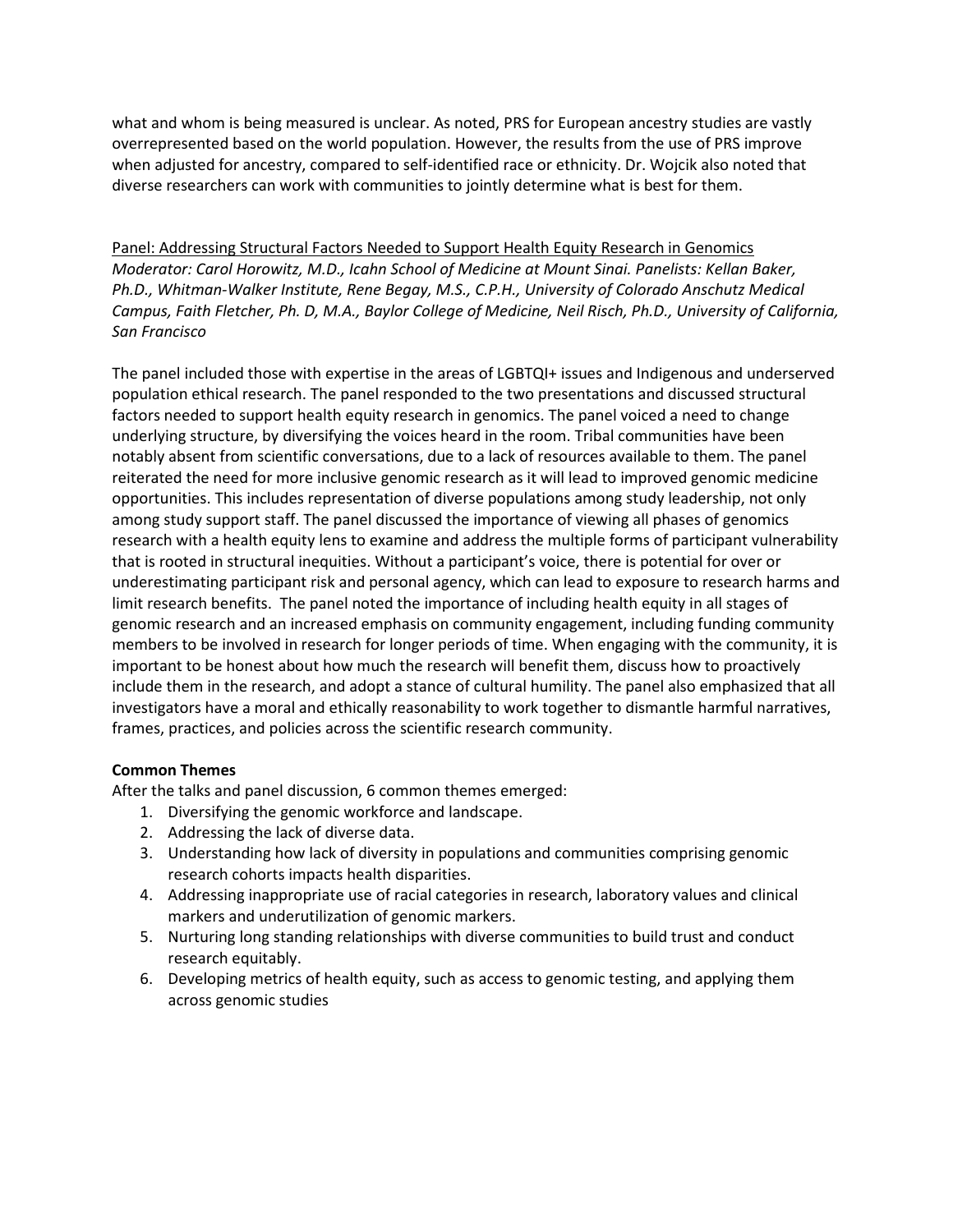what and whom is being measured is unclear. As noted, PRS for European ancestry studies are vastly overrepresented based on the world population. However, the results from the use of PRS improve when adjusted for ancestry, compared to self-identified race or ethnicity. Dr. Wojcik also noted that diverse researchers can work with communities to jointly determine what is best for them.

Panel: Addressing Structural Factors Needed to Support Health Equity Research in Genomics *Moderator: Carol Horowitz, M.D., Icahn School of Medicine at Mount Sinai. Panelists: Kellan Baker, Ph.D., Whitman-Walker Institute, Rene Begay, M.S., C.P.H., University of Colorado Anschutz Medical Campus, Faith Fletcher, Ph. D, M.A., Baylor College of Medicine, Neil Risch, Ph.D., University of California, San Francisco*

The panel included those with expertise in the areas of LGBTQI+ issues and Indigenous and underserved population ethical research. The panel responded to the two presentations and discussed structural factors needed to support health equity research in genomics. The panel voiced a need to change underlying structure, by diversifying the voices heard in the room. Tribal communities have been notably absent from scientific conversations, due to a lack of resources available to them. The panel reiterated the need for more inclusive genomic research as it will lead to improved genomic medicine opportunities. This includes representation of diverse populations among study leadership, not only among study support staff. The panel discussed the importance of viewing all phases of genomics research with a health equity lens to examine and address the multiple forms of participant vulnerability that is rooted in structural inequities. Without a participant's voice, there is potential for over or underestimating participant risk and personal agency, which can lead to exposure to research harms and limit research benefits. The panel noted the importance of including health equity in all stages of genomic research and an increased emphasis on community engagement, including funding community members to be involved in research for longer periods of time. When engaging with the community, it is important to be honest about how much the research will benefit them, discuss how to proactively include them in the research, and adopt a stance of cultural humility. The panel also emphasized that all investigators have a moral and ethically reasonability to work together to dismantle harmful narratives, frames, practices, and policies across the scientific research community.

#### **Common Themes**

After the talks and panel discussion, 6 common themes emerged:

- 1. Diversifying the genomic workforce and landscape.
- 2. Addressing the lack of diverse data.
- 3. Understanding how lack of diversity in populations and communities comprising genomic research cohorts impacts health disparities.
- 4. Addressing inappropriate use of racial categories in research, laboratory values and clinical markers and underutilization of genomic markers.
- 5. Nurturing long standing relationships with diverse communities to build trust and conduct research equitably.
- 6. Developing metrics of health equity, such as access to genomic testing, and applying them across genomic studies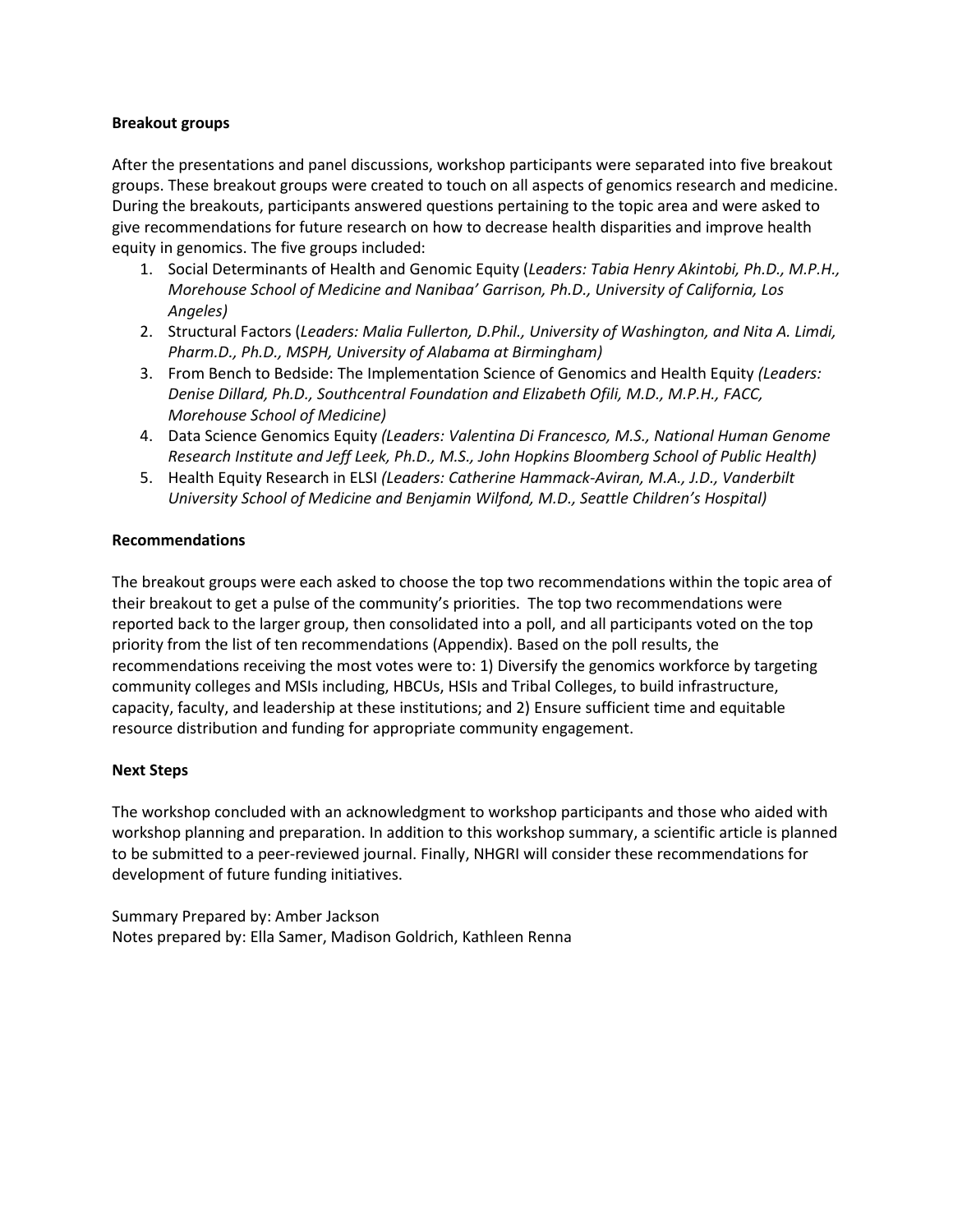#### **Breakout groups**

After the presentations and panel discussions, workshop participants were separated into five breakout groups. These breakout groups were created to touch on all aspects of genomics research and medicine. During the breakouts, participants answered questions pertaining to the topic area and were asked to give recommendations for future research on how to decrease health disparities and improve health equity in genomics. The five groups included:

- 1. Social Determinants of Health and Genomic Equity (*Leaders: Tabia Henry Akintobi, Ph.D., M.P.H., Morehouse School of Medicine and Nanibaa' Garrison, Ph.D., University of California, Los Angeles)*
- 2. Structural Factors (*Leaders: Malia Fullerton, D.Phil., University of Washington, and Nita A. Limdi, Pharm.D., Ph.D., MSPH, University of Alabama at Birmingham)*
- 3. From Bench to Bedside: The Implementation Science of Genomics and Health Equity *(Leaders: Denise Dillard, Ph.D., Southcentral Foundation and Elizabeth Ofili, M.D., M.P.H., FACC, Morehouse School of Medicine)*
- 4. Data Science Genomics Equity *(Leaders: Valentina Di Francesco, M.S., National Human Genome Research Institute and Jeff Leek, Ph.D., M.S., John Hopkins Bloomberg School of Public Health)*
- 5. Health Equity Research in ELSI *(Leaders: Catherine Hammack-Aviran, M.A., J.D., Vanderbilt University School of Medicine and Benjamin Wilfond, M.D., Seattle Children's Hospital)*

#### **Recommendations**

The breakout groups were each asked to choose the top two recommendations within the topic area of their breakout to get a pulse of the community's priorities. The top two recommendations were reported back to the larger group, then consolidated into a poll, and all participants voted on the top priority from the list of ten recommendations (Appendix). Based on the poll results, the recommendations receiving the most votes were to: 1) Diversify the genomics workforce by targeting community colleges and MSIs including, HBCUs, HSIs and Tribal Colleges, to build infrastructure, capacity, faculty, and leadership at these institutions; and 2) Ensure sufficient time and equitable resource distribution and funding for appropriate community engagement.

#### **Next Steps**

The workshop concluded with an acknowledgment to workshop participants and those who aided with workshop planning and preparation. In addition to this workshop summary, a scientific article is planned to be submitted to a peer-reviewed journal. Finally, NHGRI will consider these recommendations for development of future funding initiatives.

Summary Prepared by: Amber Jackson Notes prepared by: Ella Samer, Madison Goldrich, Kathleen Renna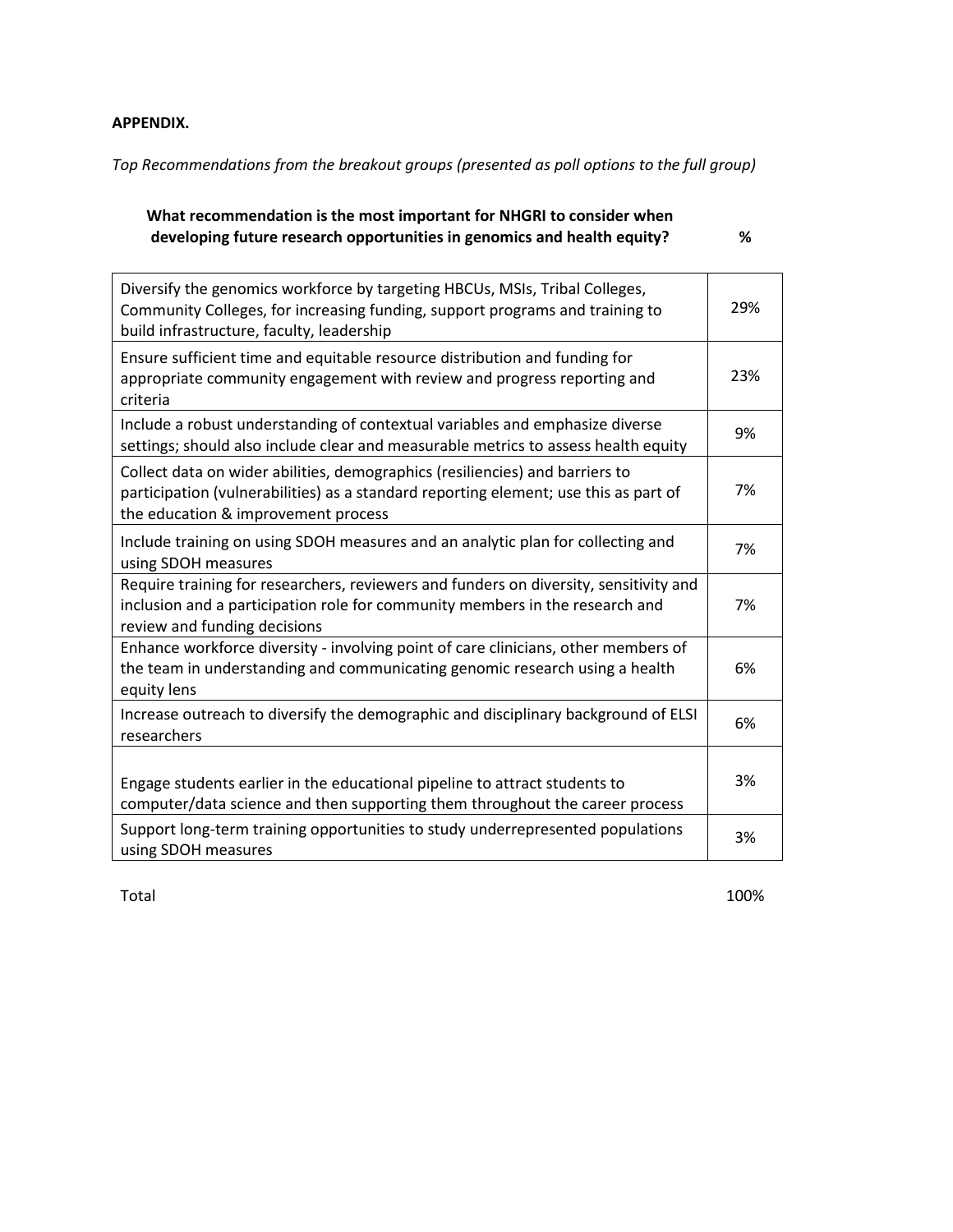## **APPENDIX.**

*Top Recommendations from the breakout groups (presented as poll options to the full group)*

## **What recommendation is the most important for NHGRI to consider when developing future research opportunities in genomics and health equity? %**

| Diversify the genomics workforce by targeting HBCUs, MSIs, Tribal Colleges,<br>Community Colleges, for increasing funding, support programs and training to<br>build infrastructure, faculty, leadership    | 29% |
|-------------------------------------------------------------------------------------------------------------------------------------------------------------------------------------------------------------|-----|
| Ensure sufficient time and equitable resource distribution and funding for<br>appropriate community engagement with review and progress reporting and<br>criteria                                           | 23% |
| Include a robust understanding of contextual variables and emphasize diverse<br>settings; should also include clear and measurable metrics to assess health equity                                          | 9%  |
| Collect data on wider abilities, demographics (resiliencies) and barriers to<br>participation (vulnerabilities) as a standard reporting element; use this as part of<br>the education & improvement process | 7%  |
| Include training on using SDOH measures and an analytic plan for collecting and<br>using SDOH measures                                                                                                      | 7%  |
| Require training for researchers, reviewers and funders on diversity, sensitivity and<br>inclusion and a participation role for community members in the research and<br>review and funding decisions       | 7%  |
| Enhance workforce diversity - involving point of care clinicians, other members of<br>the team in understanding and communicating genomic research using a health<br>equity lens                            | 6%  |
| Increase outreach to diversify the demographic and disciplinary background of ELSI<br>researchers                                                                                                           | 6%  |
| Engage students earlier in the educational pipeline to attract students to<br>computer/data science and then supporting them throughout the career process                                                  | 3%  |
| Support long-term training opportunities to study underrepresented populations<br>using SDOH measures                                                                                                       | 3%  |

Total 100%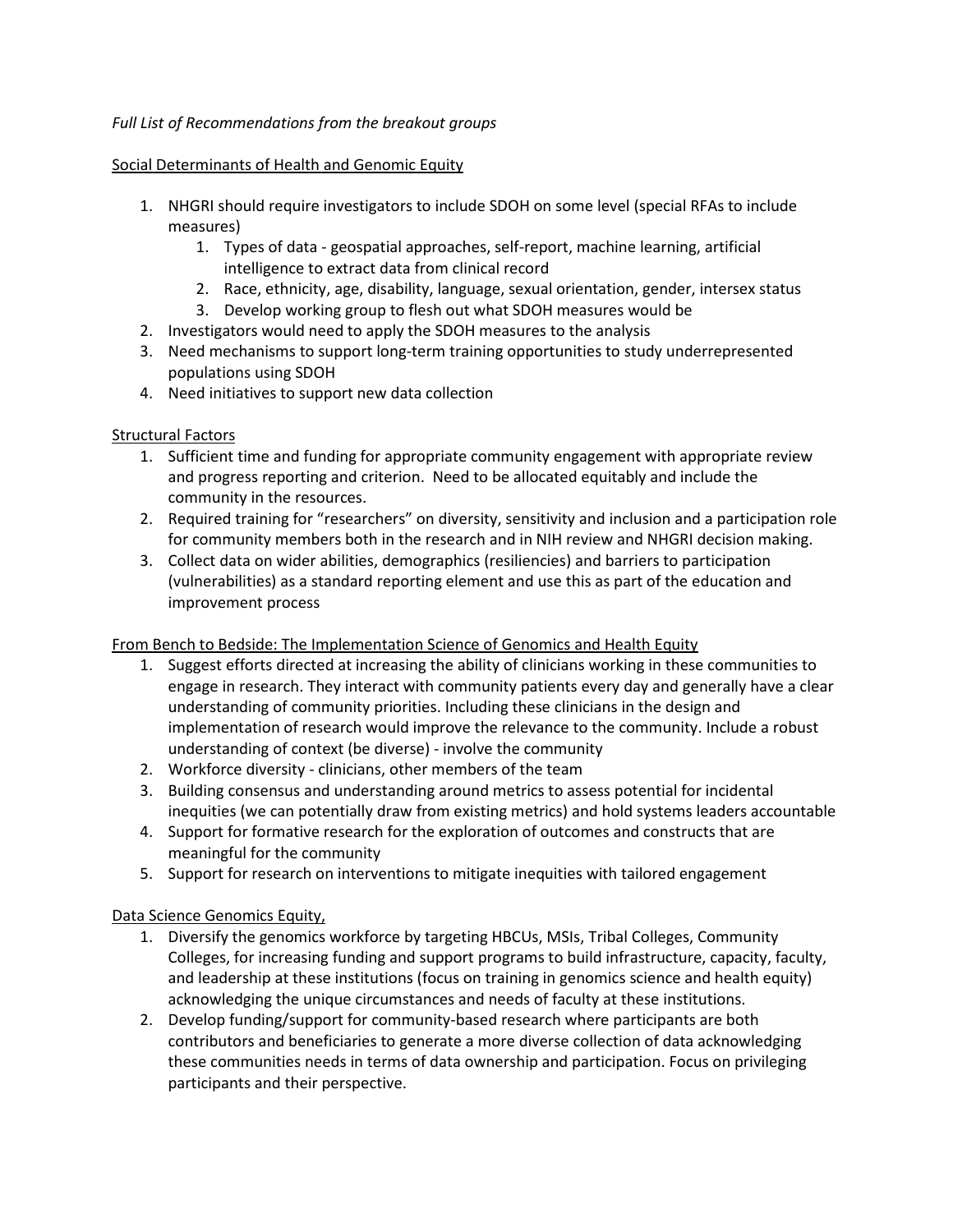## *Full List of Recommendations from the breakout groups*

#### Social Determinants of Health and Genomic Equity

- 1. NHGRI should require investigators to include SDOH on some level (special RFAs to include measures)
	- 1. Types of data geospatial approaches, self-report, machine learning, artificial intelligence to extract data from clinical record
	- 2. Race, ethnicity, age, disability, language, sexual orientation, gender, intersex status
	- 3. Develop working group to flesh out what SDOH measures would be
- 2. Investigators would need to apply the SDOH measures to the analysis
- 3. Need mechanisms to support long-term training opportunities to study underrepresented populations using SDOH
- 4. Need initiatives to support new data collection

## Structural Factors

- 1. Sufficient time and funding for appropriate community engagement with appropriate review and progress reporting and criterion. Need to be allocated equitably and include the community in the resources.
- 2. Required training for "researchers" on diversity, sensitivity and inclusion and a participation role for community members both in the research and in NIH review and NHGRI decision making.
- 3. Collect data on wider abilities, demographics (resiliencies) and barriers to participation (vulnerabilities) as a standard reporting element and use this as part of the education and improvement process

## From Bench to Bedside: The Implementation Science of Genomics and Health Equity

- 1. Suggest efforts directed at increasing the ability of clinicians working in these communities to engage in research. They interact with community patients every day and generally have a clear understanding of community priorities. Including these clinicians in the design and implementation of research would improve the relevance to the community. Include a robust understanding of context (be diverse) - involve the community
- 2. Workforce diversity clinicians, other members of the team
- 3. Building consensus and understanding around metrics to assess potential for incidental inequities (we can potentially draw from existing metrics) and hold systems leaders accountable
- 4. Support for formative research for the exploration of outcomes and constructs that are meaningful for the community
- 5. Support for research on interventions to mitigate inequities with tailored engagement

## Data Science Genomics Equity,

- 1. Diversify the genomics workforce by targeting HBCUs, MSIs, Tribal Colleges, Community Colleges, for increasing funding and support programs to build infrastructure, capacity, faculty, and leadership at these institutions (focus on training in genomics science and health equity) acknowledging the unique circumstances and needs of faculty at these institutions.
- 2. Develop funding/support for community-based research where participants are both contributors and beneficiaries to generate a more diverse collection of data acknowledging these communities needs in terms of data ownership and participation. Focus on privileging participants and their perspective.